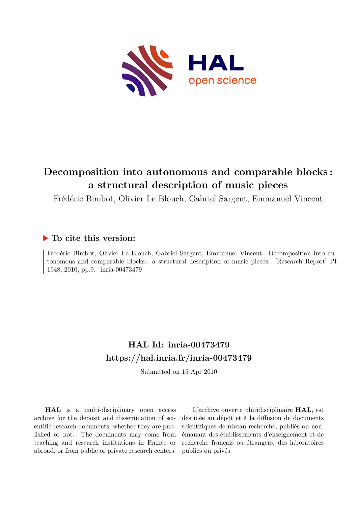

# **Decomposition into autonomous and comparable blocks : a structural description of music pieces**

Frédéric Bimbot, Olivier Le Blouch, Gabriel Sargent, Emmanuel Vincent

## **To cite this version:**

Frédéric Bimbot, Olivier Le Blouch, Gabriel Sargent, Emmanuel Vincent. Decomposition into autonomous and comparable blocks : a structural description of music pieces. [Research Report] PI 1948, 2010, pp.9. inria-00473479

# **HAL Id: inria-00473479 <https://hal.inria.fr/inria-00473479>**

Submitted on 15 Apr 2010

**HAL** is a multi-disciplinary open access archive for the deposit and dissemination of scientific research documents, whether they are published or not. The documents may come from teaching and research institutions in France or abroad, or from public or private research centers.

L'archive ouverte pluridisciplinaire **HAL**, est destinée au dépôt et à la diffusion de documents scientifiques de niveau recherche, publiés ou non, émanant des établissements d'enseignement et de recherche français ou étrangers, des laboratoires publics ou privés.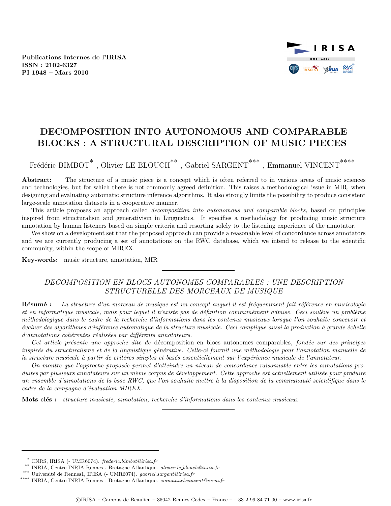Publications Internes de l'IRISA ISSN : 2102-6327 PI 1948 – Mars 2010



## DECOMPOSITION INTO AUTONOMOUS AND COMPARABLE BLOCKS : A STRUCTURAL DESCRIPTION OF MUSIC PIECES

Frédéric BIMBOT<sup>\*</sup>, Olivier LE BLOUCH<sup>\*\*</sup>, Gabriel SARGENT<sup>\*\*\*</sup>, Emmanuel VINCENT<sup>\*\*\*\*</sup>

Abstract: The structure of a music piece is a concept which is often referred to in various areas of music sciences and technologies, but for which there is not commonly agreed definition. This raises a methodological issue in MIR, when designing and evaluating automatic structure inference algorithms. It also strongly limits the possibility to produce consistent large-scale annotation datasets in a cooperative manner.

This article proposes an approach called decomposition into autonomous and comparable blocks, based on principles inspired from structuralism and generativism in Linguistics. It specifies a methodology for producing music structure annotation by human listeners based on simple criteria and resorting solely to the listening experience of the annotator.

We show on a development set that the proposed approach can provide a reasonable level of concordance across annotators and we are currently producing a set of annotations on the RWC database, which we intend to release to the scientific community, within the scope of MIREX.

Key-words: music structure, annotation, MIR

### DECOMPOSITION EN BLOCS AUTONOMES COMPARABLES : UNE DESCRIPTION STRUCTURELLE DES MORCEAUX DE MUSIQUE

Résumé : La structure d'un morceau de musique est un concept auquel il est fréquemment fait référence en musicologie et en informatique musicale, mais pour lequel il n'existe pas de définition communément admise. Ceci soulève un problème m´ethodologique dans le cadre de la recherche d'informations dans les contenus musicaux lorsque l'on souhaite concevoir et évaluer des algorithmes d'inférence automatique de la structure musicale. Ceci complique aussi la production à grande échelle d'annotations cohérentes réalisées par différents annotateurs.

Cet article présente une approche dite de décomposition en blocs autonomes comparables, fondée sur des principes inspirés du structuralisme et de la linguistique générative. Celle-ci fournit une méthodologie pour l'annotation manuelle de la structure musicale à partir de critères simples et basés essentiellement sur l'expérience musicale de l'annotateur.

On montre que l'approche proposée permet d'atteindre un niveau de concordance raisonnable entre les annotations produites par plusieurs annotateurs sur un même corpus de développement. Cette approche est actuellement utilisée pour produire un ensemble d'annotations de la base RWC, que l'on souhaite mettre à la disposition de la communauté scientifique dans le cadre de la campagne d'évaluation MIREX.

Mots clés : structure musicale, annotation, recherche d'informations dans les contenus musicaux

<sup>\*</sup> CNRS, IRISA (- UMR6074). frederic.bimbot@irisa.fr

<sup>\*\*</sup> INRIA, Centre INRIA Rennes - Bretagne Atlantique. olivier.le blouch@inria.fr

 $\hbox{``}{\vphantom{a}^*}^*$ Université de Rennes<br/>1, IRISA (- UMR6074). $gabriel.sargent@irisa.fr$ 

<sup>\*\*\*\*</sup> INRIA, Centre INRIA Rennes - Bretagne Atlantique. emmanuel.vincent@inria.fr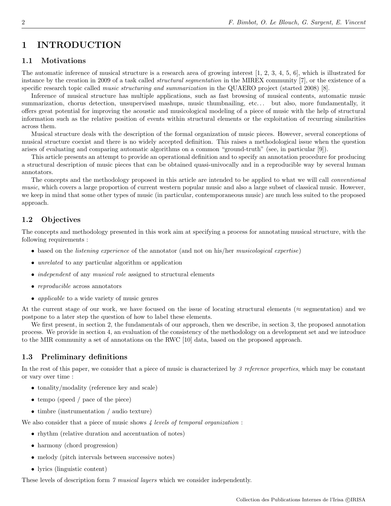## 1 INTRODUCTION

#### 1.1 Motivations

The automatic inference of musical structure is a research area of growing interest [1, 2, 3, 4, 5, 6], which is illustrated for instance by the creation in 2009 of a task called structural segmentation in the MIREX community [7], or the existence of a specific research topic called *music structuring and summarization* in the QUAERO project (started 2008) [8].

Inference of musical structure has multiple applications, such as fast browsing of musical contents, automatic music summarization, chorus detection, unsupervised mashups, music thumbnailing, etc... but also, more fundamentally, it offers great potential for improving the acoustic and musicological modeling of a piece of music with the help of structural information such as the relative position of events within structural elements or the exploitation of recurring similarities across them.

Musical structure deals with the description of the formal organization of music pieces. However, several conceptions of musical structure coexist and there is no widely accepted definition. This raises a methodological issue when the question arises of evaluating and comparing automatic algorithms on a common "ground-truth" (see, in particular [9]).

This article presents an attempt to provide an operational definition and to specify an annotation procedure for producing a structural description of music pieces that can be obtained quasi-univocally and in a reproducible way by several human annotators.

The concepts and the methodology proposed in this article are intended to be applied to what we will call *conventional* music, which covers a large proportion of current western popular music and also a large subset of classical music. However, we keep in mind that some other types of music (in particular, contemporaneous music) are much less suited to the proposed approach.

### 1.2 Objectives

The concepts and methodology presented in this work aim at specifying a process for annotating musical structure, with the following requirements :

- based on the *listening experience* of the annotator (and not on his/her musicological expertise)
- *unrelated* to any particular algorithm or application
- *independent* of any *musical role* assigned to structural elements
- reproducible across annotators
- applicable to a wide variety of music genres

At the current stage of our work, we have focused on the issue of locating structural elements ( $\approx$  segmentation) and we postpone to a later step the question of how to label these elements.

We first present, in section 2, the fundamentals of our approach, then we describe, in section 3, the proposed annotation process. We provide in section 4, an evaluation of the consistency of the methodology on a development set and we introduce to the MIR community a set of annotations on the RWC [10] data, based on the proposed approach.

### 1.3 Preliminary definitions

In the rest of this paper, we consider that a piece of music is characterized by 3 reference properties, which may be constant or vary over time :

- tonality/modality (reference key and scale)
- tempo (speed / pace of the piece)
- timbre (instrumentation / audio texture)

We also consider that a piece of music shows  $\lambda$  levels of temporal organization :

- rhythm (relative duration and accentuation of notes)
- harmony (chord progression)
- melody (pitch intervals between successive notes)
- lyrics (linguistic content)

These levels of description form 7 musical layers which we consider independently.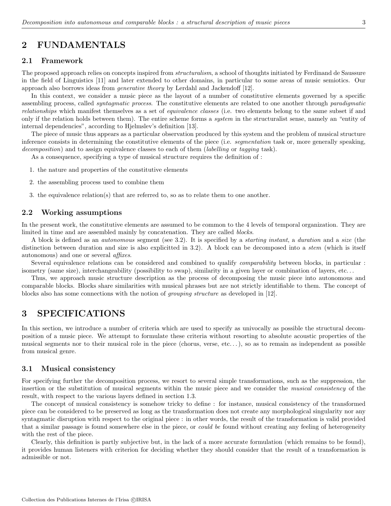## 2 FUNDAMENTALS

#### 2.1 Framework

The proposed approach relies on concepts inspired from *structuralism*, a school of thoughts initiated by Ferdinand de Saussure in the field of Linguistics [11] and later extended to other domains, in particular to some areas of music semiotics. Our approach also borrows ideas from generative theory by Lerdahl and Jackendoff [12].

In this context, we consider a music piece as the layout of a number of constitutive elements governed by a specific assembling process, called *syntagmatic process*. The constitutive elements are related to one another through *paradigmatic* relationships which manifest themselves as a set of equivalence classes (i.e. two elements belong to the same subset if and only if the relation holds between them). The entire scheme forms a *system* in the structuralist sense, namely an "entity of internal dependencies", according to Hjelmslev's definition [13].

The piece of music thus appears as a particular observation produced by this system and the problem of musical structure inference consists in determining the constitutive elements of the piece (i.e. *segmentation* task or, more generally speaking, decomposition) and to assign equivalence classes to each of them (*labelling* or tagging task).

As a consequence, specifying a type of musical structure requires the definition of :

- 1. the nature and properties of the constitutive elements
- 2. the assembling process used to combine them
- 3. the equivalence relation(s) that are referred to, so as to relate them to one another.

#### 2.2 Working assumptions

In the present work, the constitutive elements are assumed to be common to the 4 levels of temporal organization. They are limited in time and are assembled mainly by concatenation. They are called *blocks*.

A block is defined as an autonomous segment (see 3.2). It is specified by a starting instant, a duration and a size (the distinction between duration and size is also explicitted in 3.2). A block can be decomposed into a stem (which is itself autonomous) and one or several affixes.

Several equivalence relations can be considered and combined to qualify *comparability* between blocks, in particular : isometry (same size), interchangeability (possibility to swap), similarity in a given layer or combination of layers, etc. . .

Thus, we approach music structure description as the process of decomposing the music piece into autonomous and comparable blocks. Blocks share similarities with musical phrases but are not strictly identifiable to them. The concept of blocks also has some connections with the notion of grouping structure as developed in [12].

## 3 SPECIFICATIONS

In this section, we introduce a number of criteria which are used to specify as univocally as possible the structural decomposition of a music piece. We attempt to formulate these criteria without resorting to absolute acoustic properties of the musical segments nor to their musical role in the piece (chorus, verse, etc. . . ), so as to remain as independent as possible from musical genre.

#### 3.1 Musical consistency

For specifying further the decomposition process, we resort to several simple transformations, such as the suppression, the insertion or the substitution of musical segments within the music piece and we consider the musical consistency of the result, with respect to the various layers defined in section 1.3.

The concept of musical consistency is somehow tricky to define : for instance, musical consistency of the transformed piece can be considered to be preserved as long as the transformation does not create any morphological singularity nor any syntagmatic disruption with respect to the original piece : in other words, the result of the transformation is valid provided that a similar passage is found somewhere else in the piece, or *could be* found without creating any feeling of heterogeneity with the rest of the piece.

Clearly, this definition is partly subjective but, in the lack of a more accurate formulation (which remains to be found), it provides human listeners with criterion for deciding whether they should consider that the result of a transformation is admissible or not.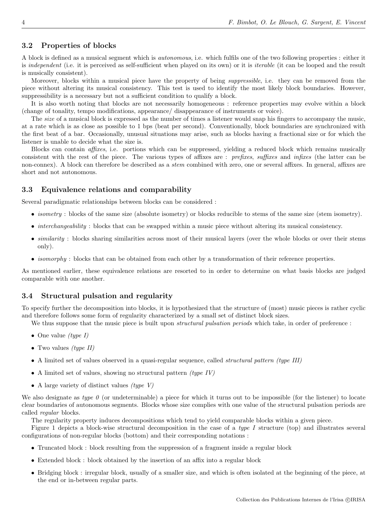#### 3.2 Properties of blocks

A block is defined as a musical segment which is autonomous, i.e. which fulfils one of the two following properties : either it is *independent* (i.e. it is perceived as self-sufficient when played on its own) or it is *iterable* (it can be looped and the result is musically consistent).

Moreover, blocks within a musical piece have the property of being *suppressible*, i.e. they can be removed from the piece without altering its musical consistency. This test is used to identify the most likely block boundaries. However, suppressibility is a necessary but not a sufficient condition to qualify a block.

It is also worth noting that blocks are not necessarily homogeneous : reference properties may evolve within a block (change of tonality, tempo modifications, appearance/ disappearance of instruments or voice).

The *size* of a musical block is expressed as the number of times a listener would snap his fingers to accompany the music, at a rate which is as close as possible to 1 bps (beat per second). Conventionally, block boundaries are synchronized with the first beat of a bar. Occasionally, unusual situations may arise, such as blocks having a fractional size or for which the listener is unable to decide what the size is.

Blocks can contain affixes, i.e. portions which can be suppressed, yielding a reduced block which remains musically consistent with the rest of the piece. The various types of affixes are : prefixes, suffixes and infixes (the latter can be non-connex). A block can therefore be described as a *stem* combined with zero, one or several affixes. In general, affixes are short and not autonomous.

#### 3.3 Equivalence relations and comparability

Several paradigmatic relationships between blocks can be considered :

- *isometry* : blocks of the same size (absolute isometry) or blocks reducible to stems of the same size (stem isometry).
- *interchangeability* : blocks that can be swapped within a music piece without altering its musical consistency.
- similarity : blocks sharing similarities across most of their musical layers (over the whole blocks or over their stems only).
- *isomorphy* : blocks that can be obtained from each other by a transformation of their reference properties.

As mentioned earlier, these equivalence relations are resorted to in order to determine on what basis blocks are judged comparable with one another.

#### 3.4 Structural pulsation and regularity

To specify further the decomposition into blocks, it is hypothesized that the structure of (most) music pieces is rather cyclic and therefore follows some form of regularity characterized by a small set of distinct block sizes.

- We thus suppose that the music piece is built upon *structural pulsation periods* which take, in order of preference :
- One value *(type I)*
- Two values  $(type II)$
- A limited set of values observed in a quasi-regular sequence, called *structural pattern (type III)*
- A limited set of values, showing no structural pattern  $(type\ IV)$
- A large variety of distinct values  $(type V)$

We also designate as type  $\theta$  (or undeterminable) a piece for which it turns out to be impossible (for the listener) to locate clear boundaries of autonomous segments. Blocks whose size complies with one value of the structural pulsation periods are called regular blocks.

The regularity property induces decompositions which tend to yield comparable blocks within a given piece.

Figure 1 depicts a block-wise structural decomposition in the case of a type I structure (top) and illustrates several configurations of non-regular blocks (bottom) and their corresponding notations :

- Truncated block : block resulting from the suppression of a fragment inside a regular block
- Extended block : block obtained by the insertion of an affix into a regular block
- Bridging block : irregular block, usually of a smaller size, and which is often isolated at the beginning of the piece, at the end or in-between regular parts.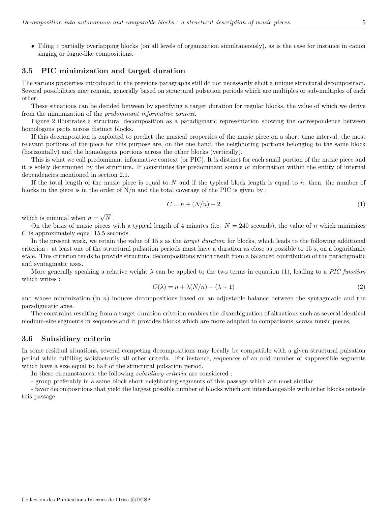• Tiling : partially overlapping blocks (on all levels of organization simultaneously), as is the case for instance in canon singing or fugue-like compositions.

#### 3.5 PIC minimization and target duration

The various properties introduced in the previous paragraphs still do not necessarily elicit a unique structural decomposition. Several possibilities may remain, generally based on structural pulsation periods which are multiples or sub-multiples of each other.

These situations can be decided between by specifying a target duration for regular blocks, the value of which we derive from the minimization of the predominant informative context.

Figure 2 illustrates a structural decomposition as a paradigmatic representation showing the correspondence between homologous parts across distinct blocks.

If this decomposition is exploited to predict the musical properties of the music piece on a short time interval, the most relevant portions of the piece for this purpose are, on the one hand, the neighboring portions belonging to the same block (horizontally) and the homologous portions across the other blocks (vertically).

This is what we call predominant informative context (or PIC). It is distinct for each small portion of the music piece and it is solely determined by the structure. It constitutes the predominant source of information within the entity of internal dependencies mentioned in section 2.1.

If the total length of the music piece is equal to  $N$  and if the typical block length is equal to  $n$ , then, the number of blocks in the piece is in the order of  $N/n$  and the total coverage of the PIC is given by :

$$
C = n + (N/n) - 2 \tag{1}
$$

which is minimal when  $n =$ √  $N$  .

On the basis of music pieces with a typical length of 4 minutes (i.e.  $N = 240$  seconds), the value of n which minimizes C is approximately equal 15.5 seconds.

In the present work, we retain the value of 15 s as the *target duration* for blocks, which leads to the following additional criterion : at least one of the structural pulsation periods must have a duration as close as possible to 15 s, on a logarithmic scale. This criterion tends to provide structural decompositions which result from a balanced contribution of the paradigmatic and syntagmatic axes.

More generally speaking a relative weight  $\lambda$  can be applied to the two terms in equation (1), leading to a PIC function which writes :

$$
C(\lambda) = n + \lambda(N/n) - (\lambda + 1)
$$
\n<sup>(2)</sup>

and whose minimization (in  $n$ ) induces decompositions based on an adjustable balance between the syntagmatic and the paradigmatic axes.

The constraint resulting from a target duration criterion enables the disambiguation of situations such as several identical medium-size segments in sequence and it provides blocks which are more adapted to comparisons *across* music pieces.

#### 3.6 Subsidiary criteria

In some residual situations, several competing decompositions may locally be compatible with a given structural pulsation period while fulfilling satisfactorily all other criteria. For instance, sequences of an odd number of suppressible segments which have a size equal to half of the structural pulsation period.

In these circumstances, the following subsidiary criteria are considered :

- group preferably in a same block short neighboring segments of this passage which are most similar

- favor decompositions that yield the largest possible number of blocks which are interchangeable with other blocks outside this passage.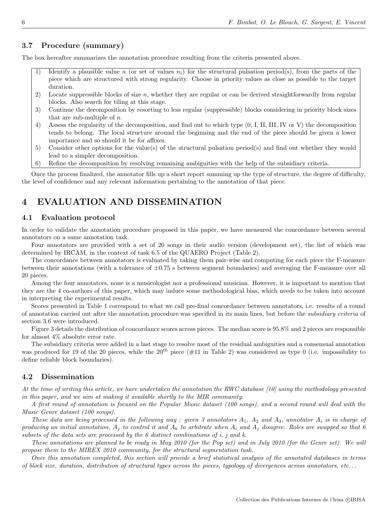#### 3.7 Procedure (summary)

The box hereafter summarizes the annotation procedure resulting from the criteria presented above.

- 1) Identify a plausible value n (or set of values  $n_i$ ) for the structural pulsation period(s), from the parts of the piece which are structured with strong regularity. Choose in priority values as close as possible to the target duration.
- 2) Locate suppressible blocks of size n, whether they are regular or can be derived straightforwardly from regular blocks. Also search for tiling at this stage.
- 3) Continue the decomposition by resorting to less regular (suppressible) blocks considering in priority block sizes that are sub-multiple of n.
- 4) Assess the regularity of the decomposition, and find out to which type (0, I, II, III, IV or V) the decomposition tends to belong. The local structure around the beginning and the end of the piece should be given a lower importance and so should it be for affixes.
- 5) Consider other options for the value(s) of the structural pulsation period(s) and find out whether they would lead to a simpler decomposition.
- 6) Refine the decomposition by resolving remaining ambiguities with the help of the subsidiary criteria.

Once the process finalized, the annotator fills up a short report summing up the type of structure, the degree of difficulty, the level of confidence and any relevant information pertaining to the annotation of that piece.

## 4 EVALUATION AND DISSEMINATION

#### 4.1 Evaluation protocol

In order to validate the annotation procedure proposed in this paper, we have measured the concordance between several annotators on a same annotation task.

Four annotators are provided with a set of 20 songs in their audio version (development set), the list of which was determined by IRCAM, in the context of task 6.5 of the QUAERO Project (Table 2).

The concordance between annotators is evaluated by taking them pair-wise and computing for each piece the F-measure between their annotations (with a tolerance of  $\pm 0.75$  s between segment boundaries) and averaging the F-measure over all 20 pieces.

Among the four annotators, none is a musicologist nor a professional musician. However, it is important to mention that they are the 4 co-authors of this paper, which may induce some methodological bias, which needs to be taken into account in interpreting the experimental results.

Scores presented in Table 1 correspond to what we call pre-final concordance between annotators, i.e. results of a round of annotation carried out after the annotation procedure was specified in its main lines, but before the subsidiary criteria of section 3.6 were introduced.

Figure 3 details the distribution of concordance scores across pieces. The median score is 95.8% and 2 pieces are responsible for almost 4% absolute error rate.

The subsidiary criteria were added in a last stage to resolve most of the residual ambiguities and a consensual annotation was produced for 19 of the 20 pieces, while the  $20^{th}$  piece (#11 in Table 2) was considered as type 0 (i.e. impossibility to define reliable block boundaries).

#### 4.2 Dissemination

At the time of writing this article, we have undertaken the annotation the RWC database [10] using the methodology presented in this paper, and we aim at making it available shortly to the MIR community.

A first round of annotation is focused on the Popular Music dataset (100 songs), and a second round will deal with the Music Genre dataset (100 songs).

These data are being processed in the following way : given 3 annotators  $A_1$ ,  $A_2$  and  $A_3$ , annotator  $A_i$  is in charge of producing an initial annotation,  $A_j$  to control it and  $A_k$  to arbitrate when  $A_i$  and  $A_j$  disagree. Roles are swapped so that 6 subsets of the data sets are processed by the  $6$  distinct combinations of i, j and k.

These annotations are planned to be ready in May 2010 (for the Pop set) and in July 2010 (for the Genre set). We will propose them to the MIREX 2010 community, for the structural segmentation task.

Once this annotation completed, this section will provide a brief statistical analysis of the annotated databases in terms of block size, duration, distribution of structural types across the pieces, typology of divergences across annotators, etc. . .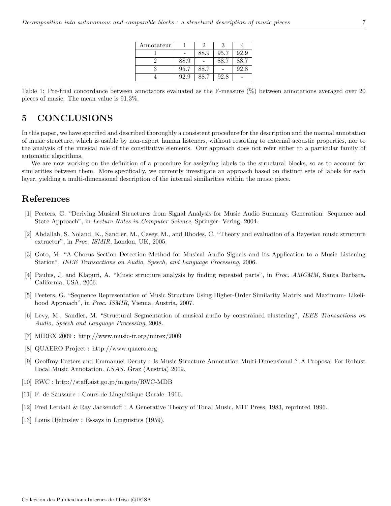| Annotateur |      |      |      |      |
|------------|------|------|------|------|
|            |      | 88.9 | 95.7 | 92.9 |
|            | 88.9 |      | 88.7 | 88.7 |
|            | 95.7 | 88.7 |      | 92.8 |
|            | 92.9 | 88.7 | 92.8 |      |

Table 1: Pre-final concordance between annotators evaluated as the F-measure (%) between annotations averaged over 20 pieces of music. The mean value is 91.3%.

### 5 CONCLUSIONS

In this paper, we have specified and described thoroughly a consistent procedure for the description and the manual annotation of music structure, which is usable by non-expert human listeners, without resorting to external acoustic properties, nor to the analysis of the musical role of the constitutive elements. Our approach does not refer either to a particular family of automatic algorithms.

We are now working on the definition of a procedure for assigning labels to the structural blocks, so as to account for similarities between them. More specifically, we currently investigate an approach based on distinct sets of labels for each layer, yielding a multi-dimensional description of the internal similarities within the music piece.

## References

- [1] Peeters, G. "Deriving Musical Structures from Signal Analysis for Music Audio Summary Generation: Sequence and State Approach", in Lecture Notes in Computer Science, Springer- Verlag, 2004.
- [2] Abdallah, S. Noland, K., Sandler, M., Casey, M., and Rhodes, C. "Theory and evaluation of a Bayesian music structure extractor", in Proc. ISMIR, London, UK, 2005.
- [3] Goto, M. "A Chorus Section Detection Method for Musical Audio Signals and Its Application to a Music Listening Station", IEEE Transactions on Audio, Speech, and Language Processing, 2006.
- [4] Paulus, J. and Klapuri, A. "Music structure analysis by finding repeated parts", in Proc. AMCMM, Santa Barbara, California, USA, 2006.
- [5] Peeters, G. "Sequence Representation of Music Structure Using Higher-Order Similarity Matrix and Maximum- Likelihood Approach", in Proc. ISMIR, Vienna, Austria, 2007.
- [6] Levy, M., Sandler, M. "Structural Segmentation of musical audio by constrained clustering", IEEE Transactions on Audio, Speech and Language Processing, 2008.
- [7] MIREX 2009 : http://www.music-ir.org/mirex/2009
- [8] QUAERO Project : http://www.quaero.org
- [9] Geoffroy Peeters and Emmanuel Deruty : Is Music Structure Annotation Multi-Dimensional ? A Proposal For Robust Local Music Annotation. LSAS, Graz (Austria) 2009.
- [10] RWC : http://staff.aist.go.jp/m.goto/RWC-MDB
- [11] F. de Saussure : Cours de Linguistique Gnrale. 1916.
- [12] Fred Lerdahl & Ray Jackendoff : A Generative Theory of Tonal Music, MIT Press, 1983, reprinted 1996.
- [13] Louis Hjelmslev : Essays in Linguistics (1959).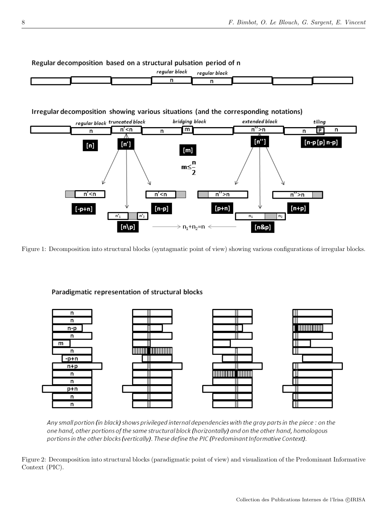

Regular decomposition based on a structural pulsation period of n

Figure 1: Decomposition into structural blocks (syntagmatic point of view) showing various configurations of irregular blocks.



Paradigmatic representation of structural blocks

Any small portion (in black) shows privileged internal dependencies with the gray parts in the piece: on the one hand, other portions of the same structural block (horizontally) and on the other hand, homologous portions in the other blocks (vertically). These define the PIC (Predominant Informative Context).

Figure 2: Decomposition into structural blocks (paradigmatic point of view) and visualization of the Predominant Informative Context (PIC).